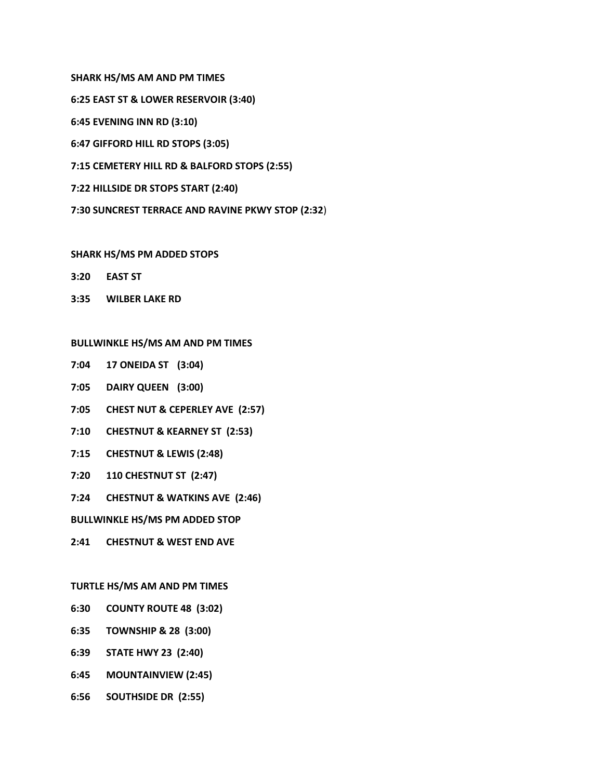**SHARK HS/MS AM AND PM TIMES 6:25 EAST ST & LOWER RESERVOIR (3:40) 6:45 EVENING INN RD (3:10) 6:47 GIFFORD HILL RD STOPS (3:05) 7:15 CEMETERY HILL RD & BALFORD STOPS (2:55) 7:22 HILLSIDE DR STOPS START (2:40) 7:30 SUNCREST TERRACE AND RAVINE PKWY STOP (2:32**)

# **SHARK HS/MS PM ADDED STOPS**

- **3:20 EAST ST**
- **3:35 WILBER LAKE RD**

## **BULLWINKLE HS/MS AM AND PM TIMES**

- **7:04 17 ONEIDA ST (3:04)**
- **7:05 DAIRY QUEEN (3:00)**
- **7:05 CHEST NUT & CEPERLEY AVE (2:57)**
- **7:10 CHESTNUT & KEARNEY ST (2:53)**
- **7:15 CHESTNUT & LEWIS (2:48)**
- **7:20 110 CHESTNUT ST (2:47)**
- **7:24 CHESTNUT & WATKINS AVE (2:46)**

**BULLWINKLE HS/MS PM ADDED STOP**

**2:41 CHESTNUT & WEST END AVE**

#### **TURTLE HS/MS AM AND PM TIMES**

- **6:30 COUNTY ROUTE 48 (3:02)**
- **6:35 TOWNSHIP & 28 (3:00)**
- **6:39 STATE HWY 23 (2:40)**
- **6:45 MOUNTAINVIEW (2:45)**
- **6:56 SOUTHSIDE DR (2:55)**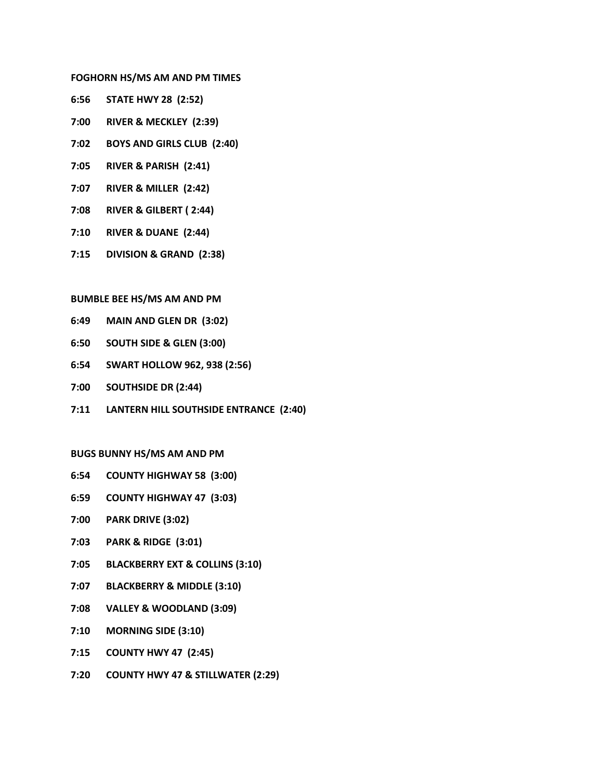## **FOGHORN HS/MS AM AND PM TIMES**

- **6:56 STATE HWY 28 (2:52)**
- **7:00 RIVER & MECKLEY (2:39)**
- **7:02 BOYS AND GIRLS CLUB (2:40)**
- **7:05 RIVER & PARISH (2:41)**
- **7:07 RIVER & MILLER (2:42)**
- **7:08 RIVER & GILBERT ( 2:44)**
- **7:10 RIVER & DUANE (2:44)**
- **7:15 DIVISION & GRAND (2:38)**

## **BUMBLE BEE HS/MS AM AND PM**

- **6:49 MAIN AND GLEN DR (3:02)**
- **6:50 SOUTH SIDE & GLEN (3:00)**
- **6:54 SWART HOLLOW 962, 938 (2:56)**
- **7:00 SOUTHSIDE DR (2:44)**
- **7:11 LANTERN HILL SOUTHSIDE ENTRANCE (2:40)**

## **BUGS BUNNY HS/MS AM AND PM**

- **6:54 COUNTY HIGHWAY 58 (3:00)**
- **6:59 COUNTY HIGHWAY 47 (3:03)**
- **7:00 PARK DRIVE (3:02)**
- **7:03 PARK & RIDGE (3:01)**
- **7:05 BLACKBERRY EXT & COLLINS (3:10)**
- **7:07 BLACKBERRY & MIDDLE (3:10)**
- **7:08 VALLEY & WOODLAND (3:09)**
- **7:10 MORNING SIDE (3:10)**
- **7:15 COUNTY HWY 47 (2:45)**
- **7:20 COUNTY HWY 47 & STILLWATER (2:29)**